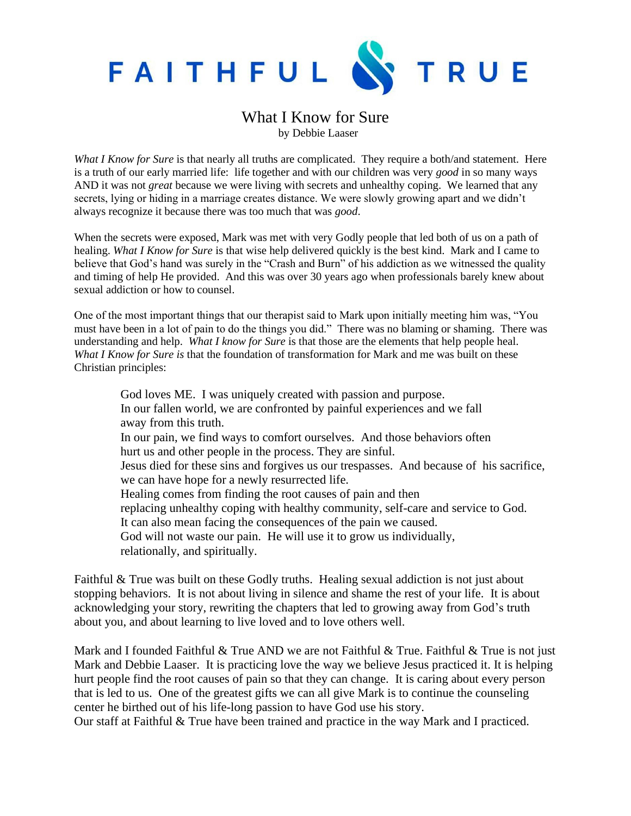

## What I Know for Sure by Debbie Laaser

*What I Know for Sure* is that nearly all truths are complicated. They require a both/and statement. Here is a truth of our early married life: life together and with our children was very *good* in so many ways AND it was not *great* because we were living with secrets and unhealthy coping. We learned that any secrets, lying or hiding in a marriage creates distance. We were slowly growing apart and we didn't always recognize it because there was too much that was *good*.

When the secrets were exposed, Mark was met with very Godly people that led both of us on a path of healing. *What I Know for Sure* is that wise help delivered quickly is the best kind. Mark and I came to believe that God's hand was surely in the "Crash and Burn" of his addiction as we witnessed the quality and timing of help He provided. And this was over 30 years ago when professionals barely knew about sexual addiction or how to counsel.

One of the most important things that our therapist said to Mark upon initially meeting him was, "You must have been in a lot of pain to do the things you did." There was no blaming or shaming. There was understanding and help. *What I know for Sure* is that those are the elements that help people heal. *What I Know for Sure is* that the foundation of transformation for Mark and me was built on these Christian principles:

 God loves ME. I was uniquely created with passion and purpose. In our fallen world, we are confronted by painful experiences and we fall away from this truth. In our pain, we find ways to comfort ourselves. And those behaviors often hurt us and other people in the process. They are sinful. Jesus died for these sins and forgives us our trespasses. And because of his sacrifice, we can have hope for a newly resurrected life. Healing comes from finding the root causes of pain and then replacing unhealthy coping with healthy community, self-care and service to God. It can also mean facing the consequences of the pain we caused. God will not waste our pain. He will use it to grow us individually, relationally, and spiritually.

Faithful & True was built on these Godly truths. Healing sexual addiction is not just about stopping behaviors. It is not about living in silence and shame the rest of your life. It is about acknowledging your story, rewriting the chapters that led to growing away from God's truth about you, and about learning to live loved and to love others well.

Mark and I founded Faithful & True AND we are not Faithful & True. Faithful & True is not just Mark and Debbie Laaser. It is practicing love the way we believe Jesus practiced it. It is helping hurt people find the root causes of pain so that they can change. It is caring about every person that is led to us. One of the greatest gifts we can all give Mark is to continue the counseling center he birthed out of his life-long passion to have God use his story.

Our staff at Faithful & True have been trained and practice in the way Mark and I practiced.